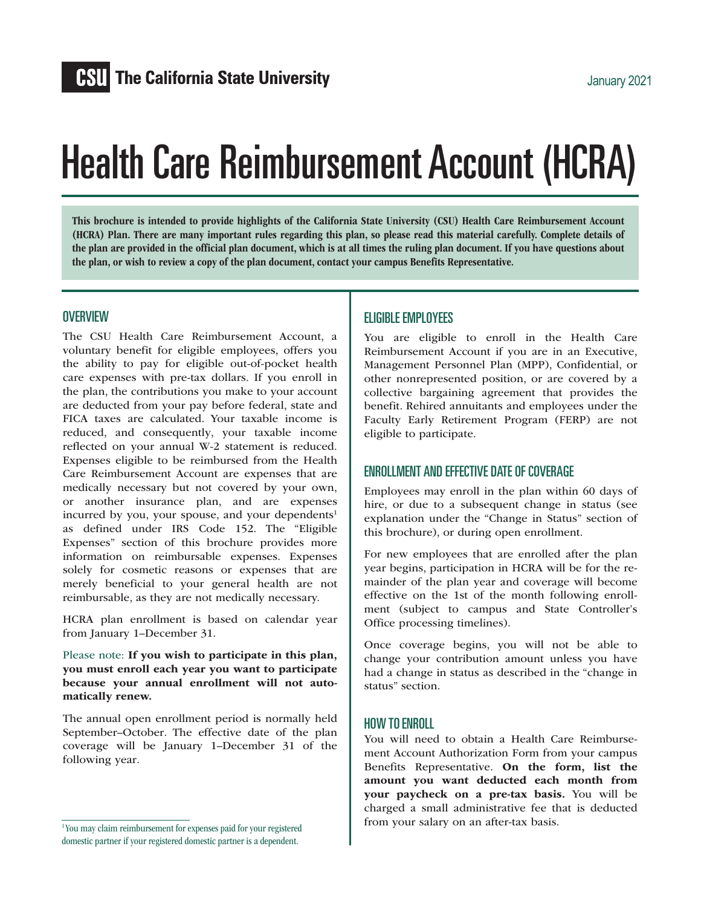# Health Care Reimbursement Account (HCRA)

This brochure is intended to provide highlights of the California State University (CSU) Health Care Reimbursement Account (HCRA) Plan. There are many important rules regarding this plan, so please read this material carefully. Complete details of the plan are provided in the official plan document, which is at all times the ruling plan document. If you have questions about the plan, or wish to review a copy of the plan document, contact your campus Benefits Representative.

#### **OVERVIEW**

The CSU Health Care Reimbursement Account, a voluntary benefit for eligible employees, offers you the ability to pay for eligible out-of-pocket health care expenses with pre-tax dollars. If you enroll in the plan, the contributions you make to your account are deducted from your pay before federal, state and FICA taxes are calculated. Your taxable income is reduced, and consequently, your taxable income reflected on your annual W-2 statement is reduced. Expenses eligible to be reimbursed from the Health Care Reimbursement Account are expenses that are medically necessary but not covered by your own, or another insurance plan, and are expenses incurred by you, your spouse, and your dependents<sup>1</sup> as defined under IRS Code 152. The "Eligible Expenses" section of this brochure provides more information on reimbursable expenses. Expenses solely for cosmetic reasons or expenses that are merely beneficial to your general health are not reimbursable, as they are not medically necessary.

HCRA plan enrollment is based on calendar year from January 1–December 31.

Please note: If you wish to participate in this plan, you must enroll each year you want to participate because your annual enrollment will not automatically renew.

The annual open enrollment period is normally held September–October. The effective date of the plan coverage will be January 1–December 31 of the following year.

#### ELIGIBLE EMPLOYEES

You are eligible to enroll in the Health Care Reimbursement Account if you are in an Executive, Management Personnel Plan (MPP), Confidential, or other nonrepresented position, or are covered by a collective bargaining agreement that provides the benefit. Rehired annuitants and employees under the Faculty Early Retirement Program (FERP) are not eligible to participate.

#### ENROLLMENT AND EFFECTIVE DATE OF COVERAGE

Employees may enroll in the plan within 60 days of hire, or due to a subsequent change in status (see explanation under the "Change in Status" section of this brochure), or during open enrollment.

For new employees that are enrolled after the plan year begins, participation in HCRA will be for the remainder of the plan year and coverage will become effective on the 1st of the month following enrollment (subject to campus and State Controller's Office processing timelines).

Once coverage begins, you will not be able to change your contribution amount unless you have had a change in status as described in the "change in status" section.

#### HOW TO ENROLL

You will need to obtain a Health Care Reimbursement Account Authorization Form from your campus Benefits Representative. On the form, list the amount you want deducted each month from your paycheck on a pre-tax basis. You will be charged a small administrative fee that is deducted from your salary on an after-tax basis.

<sup>&</sup>lt;sup>1</sup> You may claim reimbursement for expenses paid for your registered domestic partner if your registered domestic partner is a dependent.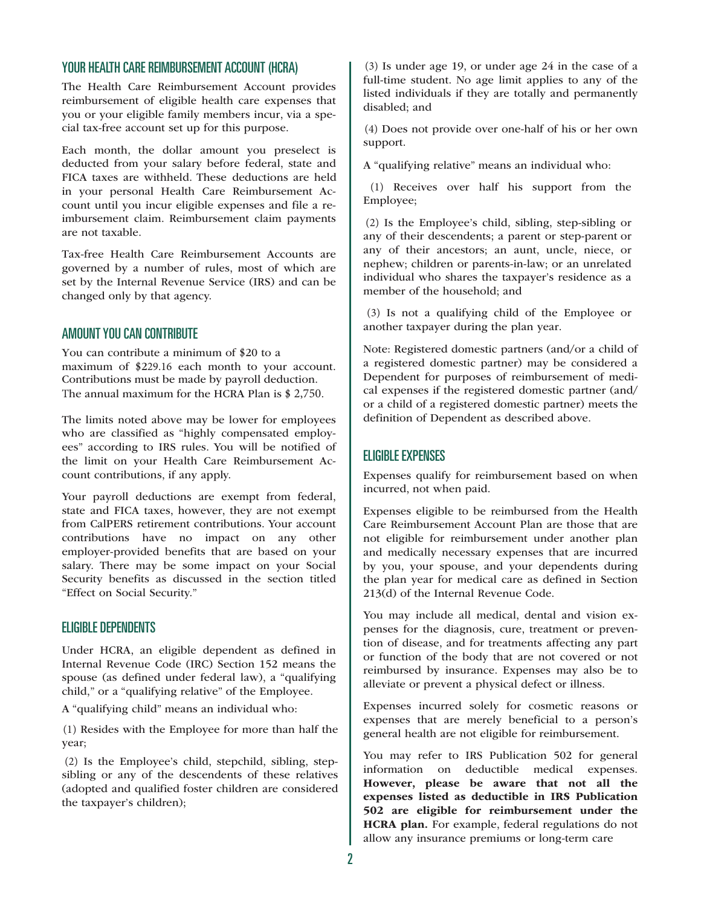## YOUR HEALTH CARE REIMBURSEMENT ACCOUNT (HCRA)

The Health Care Reimbursement Account provides reimbursement of eligible health care expenses that you or your eligible family members incur, via a special tax-free account set up for this purpose.

Each month, the dollar amount you preselect is deducted from your salary before federal, state and FICA taxes are withheld. These deductions are held in your personal Health Care Reimbursement Account until you incur eligible expenses and file a reimbursement claim. Reimbursement claim payments are not taxable.

Tax-free Health Care Reimbursement Accounts are governed by a number of rules, most of which are set by the Internal Revenue Service (IRS) and can be changed only by that agency.

#### AMOUNT YOU CAN CONTRIBUTE

You can contribute a minimum of \$20 to a maximum of \$229.16 each month to your account. Contributions must be made by payroll deduction. The annual maximum for the HCRA Plan is \$ 2,750.

The limits noted above may be lower for employees who are classified as "highly compensated employees" according to IRS rules. You will be notified of the limit on your Health Care Reimbursement Account contributions, if any apply.

Your payroll deductions are exempt from federal, state and FICA taxes, however, they are not exempt from CalPERS retirement contributions. Your account contributions have no impact on any other employer-provided benefits that are based on your salary. There may be some impact on your Social Security benefits as discussed in the section titled "Effect on Social Security."

#### **FLIGIBLE DEPENDENTS**

Under HCRA, an eligible dependent as defined in Internal Revenue Code (IRC) Section 152 means the spouse (as defined under federal law), a "qualifying child," or a "qualifying relative" of the Employee.

A "qualifying child" means an individual who:

(1) Resides with the Employee for more than half the year;

(2) Is the Employee's child, stepchild, sibling, stepsibling or any of the descendents of these relatives (adopted and qualified foster children are considered the taxpayer's children);

(3) Is under age 19, or under age 24 in the case of a full-time student. No age limit applies to any of the listed individuals if they are totally and permanently disabled; and

(4) Does not provide over one-half of his or her own support.

A "qualifying relative" means an individual who:

(1) Receives over half his support from the Employee;

(2) Is the Employee's child, sibling, step-sibling or any of their descendents; a parent or step-parent or any of their ancestors; an aunt, uncle, niece, or nephew; children or parents-in-law; or an unrelated individual who shares the taxpayer's residence as a member of the household; and

(3) Is not a qualifying child of the Employee or another taxpayer during the plan year.

Note: Registered domestic partners (and/or a child of a registered domestic partner) may be considered a Dependent for purposes of reimbursement of medical expenses if the registered domestic partner (and/ or a child of a registered domestic partner) meets the definition of Dependent as described above.

#### ELIGIBLE EXPENSES

Expenses qualify for reimbursement based on when incurred, not when paid.

Expenses eligible to be reimbursed from the Health Care Reimbursement Account Plan are those that are not eligible for reimbursement under another plan and medically necessary expenses that are incurred by you, your spouse, and your dependents during the plan year for medical care as defined in Section 213(d) of the Internal Revenue Code.

You may include all medical, dental and vision expenses for the diagnosis, cure, treatment or prevention of disease, and for treatments affecting any part or function of the body that are not covered or not reimbursed by insurance. Expenses may also be to alleviate or prevent a physical defect or illness.

Expenses incurred solely for cosmetic reasons or expenses that are merely beneficial to a person's general health are not eligible for reimbursement.

You may refer to IRS Publication 502 for general information on deductible medical expenses. However, please be aware that not all the expenses listed as deductible in IRS Publication 502 are eligible for reimbursement under the HCRA plan. For example, federal regulations do not allow any insurance premiums or long-term care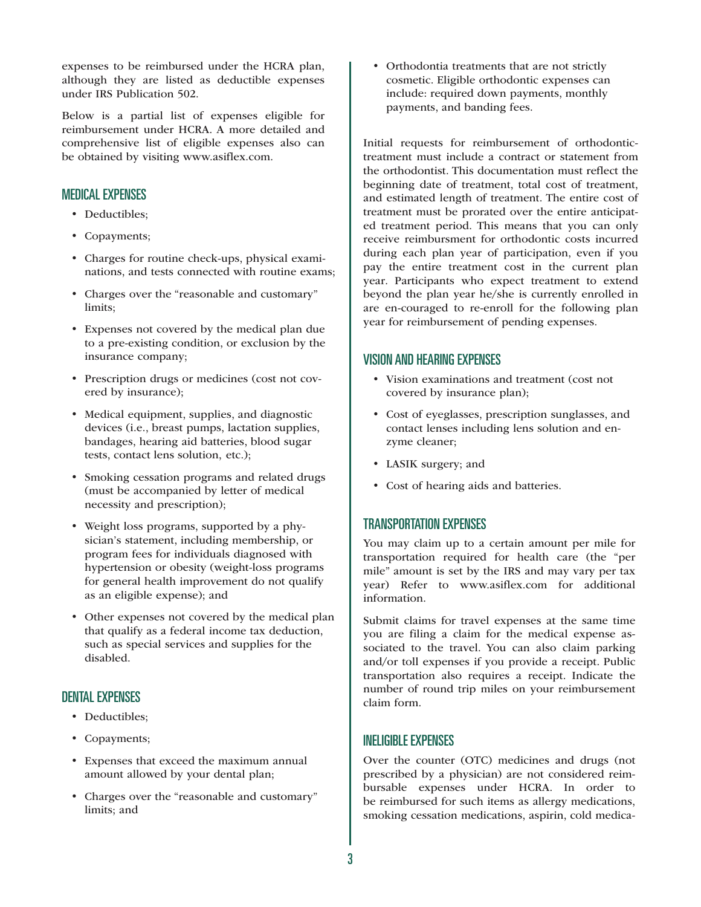expenses to be reimbursed under the HCRA plan, although they are listed as deductible expenses under IRS Publication 502.

Below is a partial list of expenses eligible for reimbursement under HCRA. A more detailed and comprehensive list of eligible expenses also can be obtained by visiting www.asiflex.com.

# MEDICAL EXPENSES

- Deductibles;
- Copayments;
- Charges for routine check-ups, physical examinations, and tests connected with routine exams;
- Charges over the "reasonable and customary" limits;
- Expenses not covered by the medical plan due to a pre-existing condition, or exclusion by the insurance company;
- Prescription drugs or medicines (cost not covered by insurance);
- Medical equipment, supplies, and diagnostic devices (i.e., breast pumps, lactation supplies, bandages, hearing aid batteries, blood sugar tests, contact lens solution, etc.);
- Smoking cessation programs and related drugs (must be accompanied by letter of medical necessity and prescription);
- Weight loss programs, supported by a physician's statement, including membership, or program fees for individuals diagnosed with hypertension or obesity (weight-loss programs for general health improvement do not qualify as an eligible expense); and
- Other expenses not covered by the medical plan that qualify as a federal income tax deduction, such as special services and supplies for the disabled.

## DENTAL EXPENSES

- Deductibles;
- Copayments;
- Expenses that exceed the maximum annual amount allowed by your dental plan;
- Charges over the "reasonable and customary" limits; and

• Orthodontia treatments that are not strictly cosmetic. Eligible orthodontic expenses can include: required down payments, monthly payments, and banding fees.

Initial requests for reimbursement of orthodontictreatment must include a contract or statement from the orthodontist. This documentation must reflect the beginning date of treatment, total cost of treatment, and estimated length of treatment. The entire cost of treatment must be prorated over the entire anticipated treatment period. This means that you can only receive reimbursment for orthodontic costs incurred during each plan year of participation, even if you pay the entire treatment cost in the current plan year. Participants who expect treatment to extend beyond the plan year he/she is currently enrolled in are en-couraged to re-enroll for the following plan year for reimbursement of pending expenses.

## VISION AND HEARING EXPENSES

- Vision examinations and treatment (cost not covered by insurance plan);
- Cost of eyeglasses, prescription sunglasses, and contact lenses including lens solution and enzyme cleaner;
- LASIK surgery; and
- Cost of hearing aids and batteries.

# TRANSPORTATION EXPENSES

You may claim up to a certain amount per mile for transportation required for health care (the "per mile" amount is set by the IRS and may vary per tax year) Refer to www.asiflex.com for additional information.

Submit claims for travel expenses at the same time you are filing a claim for the medical expense associated to the travel. You can also claim parking and/or toll expenses if you provide a receipt. Public transportation also requires a receipt. Indicate the number of round trip miles on your reimbursement claim form.

## INELIGIBLE EXPENSES

Over the counter (OTC) medicines and drugs (not prescribed by a physician) are not considered reimbursable expenses under HCRA. In order to be reimbursed for such items as allergy medications, smoking cessation medications, aspirin, cold medica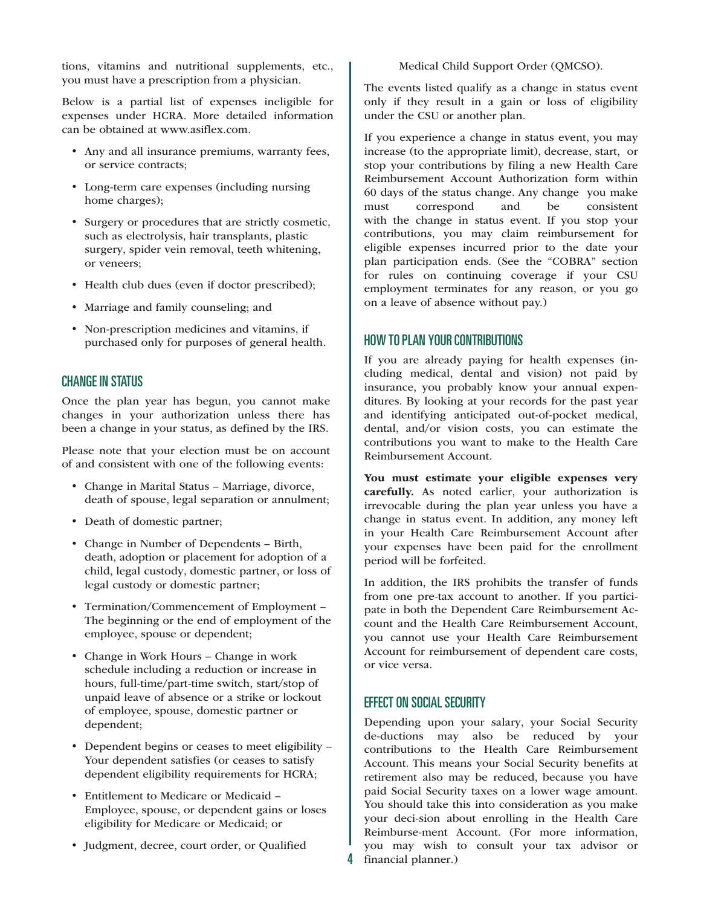tions, vitamins and nutritional supplements, etc., you must have a prescription from a physician.

Below is a partial list of expenses ineligible for expenses under HCRA. More detailed information can be obtained at www.asiflex.com.

- Any and all insurance premiums, warranty fees, or service contracts;
- Long-term care expenses (including nursing home charges);
- Surgery or procedures that are strictly cosmetic, such as electrolysis, hair transplants, plastic surgery, spider vein removal, teeth whitening, or veneers;
- Health club dues (even if doctor prescribed);
- Marriage and family counseling; and
- Non-prescription medicines and vitamins, if purchased only for purposes of general health.

## CHANGE IN STATUS

Once the plan year has begun, you cannot make changes in your authorization unless there has been a change in your status, as defined by the IRS.

Please note that your election must be on account of and consistent with one of the following events:

- Change in Marital Status Marriage, divorce, death of spouse, legal separation or annulment;
- Death of domestic partner;
- Change in Number of Dependents Birth, death, adoption or placement for adoption of a child, legal custody, domestic partner, or loss of legal custody or domestic partner;
- Termination/Commencement of Employment The beginning or the end of employment of the employee, spouse or dependent;
- Change in Work Hours Change in work schedule including a reduction or increase in hours, full-time/part-time switch, start/stop of unpaid leave of absence or a strike or lockout of employee, spouse, domestic partner or dependent;
- Dependent begins or ceases to meet eligibility -Your dependent satisfies (or ceases to satisfy dependent eligibility requirements for HCRA;
- Entitlement to Medicare or Medicaid Employee, spouse, or dependent gains or loses eligibility for Medicare or Medicaid; or
- Judgment, decree, court order, or Qualified

Medical Child Support Order (OMCSO).

The events listed qualify as a change in status event only if they result in a gain or loss of eligibility under the CSU or another plan.

If you experience a change in status event, you may increase (to the appropriate limit), decrease, start, or stop your contributions by filing a new Health Care Reimbursement Account Authorization form within 60 days of the status change. Any change you make must correspond and be consistent with the change in status event. If you stop your contributions, you may claim reimbursement for eligible expenses incurred prior to the date your plan participation ends. (See the "COBRA" section for rules on continuing coverage if your CSU employment terminates for any reason, or you go on a leave of absence without pay.)

## HOW TO PLAN YOUR CONTRIBUTIONS

If you are already paying for health expenses (including medical, dental and vision) not paid by insurance, you probably know your annual expenditures. By looking at your records for the past year and identifying anticipated out-of-pocket medical, dental, and/or vision costs, you can estimate the contributions you want to make to the Health Care Reimbursement Account.

You must estimate your eligible expenses very carefully. As noted earlier, your authorization is irrevocable during the plan year unless you have a change in status event. In addition, any money left in your Health Care Reimbursement Account after your expenses have been paid for the enrollment period will be forfeited.

In addition, the IRS prohibits the transfer of funds from one pre-tax account to another. If you participate in both the Dependent Care Reimbursement Account and the Health Care Reimbursement Account, you cannot use your Health Care Reimbursement Account for reimbursement of dependent care costs, or vice versa.

## EFFECT ON SOCIAL SECURITY

Depending upon your salary, your Social Security de-ductions may also be reduced by your contributions to the Health Care Reimbursement Account. This means your Social Security benefits at retirement also may be reduced, because you have paid Social Security taxes on a lower wage amount. You should take this into consideration as you make your deci-sion about enrolling in the Health Care Reimburse-ment Account. (For more information, you may wish to consult your tax advisor or 4 financial planner.)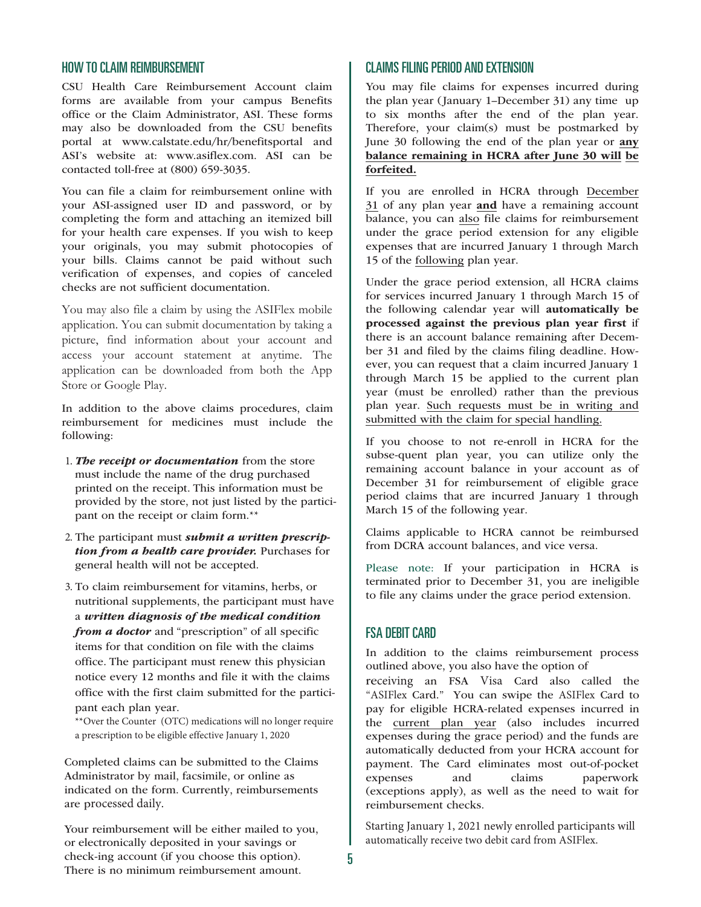#### HOW TO CLAIM REIMBURSEMENT

CSU Health Care Reimbursement Account claim forms are available from your campus Benefits office or the Claim Administrator, ASI. These forms may also be downloaded from the CSU benefits portal at www.calstate.edu/hr/benefitsportal and ASI's website at: www.asiflex.com. ASI can be contacted toll-free at (800) 659-3035.

You can file a claim for reimbursement online with your ASI-assigned user ID and password, or by completing the form and attaching an itemized bill for your health care expenses. If you wish to keep your originals, you may submit photocopies of your bills. Claims cannot be paid without such verification of expenses, and copies of canceled checks are not sufficient documentation.

You may also file a claim by using the ASIFlex mobile application. You can submit documentation by taking a picture, find information about your account and access your account statement at anytime. The application can be downloaded from both the App Store or Google Play.

In addition to the above claims procedures, claim reimbursement for medicines must include the following:

- 1. *The receipt or documentation* from the store must include the name of the drug purchased printed on the receipt. This information must be provided by the store, not just listed by the participant on the receipt or claim form.\*\*
- 2. The participant must *submit a written prescription from a health care provider.* Purchases for general health will not be accepted.
- 3. To claim reimbursement for vitamins, herbs, or nutritional supplements, the participant must have a *written diagnosis of the medical condition from a doctor* and "prescription" of all specific items for that condition on file with the claims office. The participant must renew this physician notice every 12 months and file it with the claims office with the first claim submitted for the participant each plan year.

\*\*Over the Counter (OTC) medications will no longer require a prescription to be eligible effective January 1, 2020

Completed claims can be submitted to the Claims Administrator by mail, facsimile, or online as indicated on the form. Currently, reimbursements are processed daily.

Your reimbursement will be either mailed to you, or electronically deposited in your savings or check-ing account (if you choose this option). There is no minimum reimbursement amount.

## CLAIMS FILING PERIOD AND EXTENSION

You may file claims for expenses incurred during the plan year (January 1–December 31) any time up to six months after the end of the plan year. Therefore, your claim(s) must be postmarked by June 30 following the end of the plan year or any balance remaining in HCRA after June 30 will be forfeited.

If you are enrolled in HCRA through December 31 of any plan year and have a remaining account balance, you can also file claims for reimbursement under the grace period extension for any eligible expenses that are incurred January 1 through March 15 of the following plan year.

Under the grace period extension, all HCRA claims for services incurred January 1 through March 15 of the following calendar year will automatically be processed against the previous plan year first if there is an account balance remaining after December 31 and filed by the claims filing deadline. However, you can request that a claim incurred January 1 through March 15 be applied to the current plan year (must be enrolled) rather than the previous plan year. Such requests must be in writing and submitted with the claim for special handling.

If you choose to not re-enroll in HCRA for the subse-quent plan year, you can utilize only the remaining account balance in your account as of December 31 for reimbursement of eligible grace period claims that are incurred January 1 through March 15 of the following year.

Claims applicable to HCRA cannot be reimbursed from DCRA account balances, and vice versa.

Please note: If your participation in HCRA is terminated prior to December 31, you are ineligible to file any claims under the grace period extension.

#### FSA DEBIT CARD

In addition to the claims reimbursement process outlined above, you also have the option of

receiving an FSA Visa Card also called the "ASIFlex Card." You can swipe the ASIFlex Card to pay for eligible HCRA-related expenses incurred in the current plan year (also includes incurred expenses during the grace period) and the funds are automatically deducted from your HCRA account for payment. The Card eliminates most out-of-pocket expenses and claims paperwork (exceptions apply), as well as the need to wait for reimbursement checks.

Starting January 1, 2021 newly enrolled participants will automatically receive two debit card from ASIFlex.